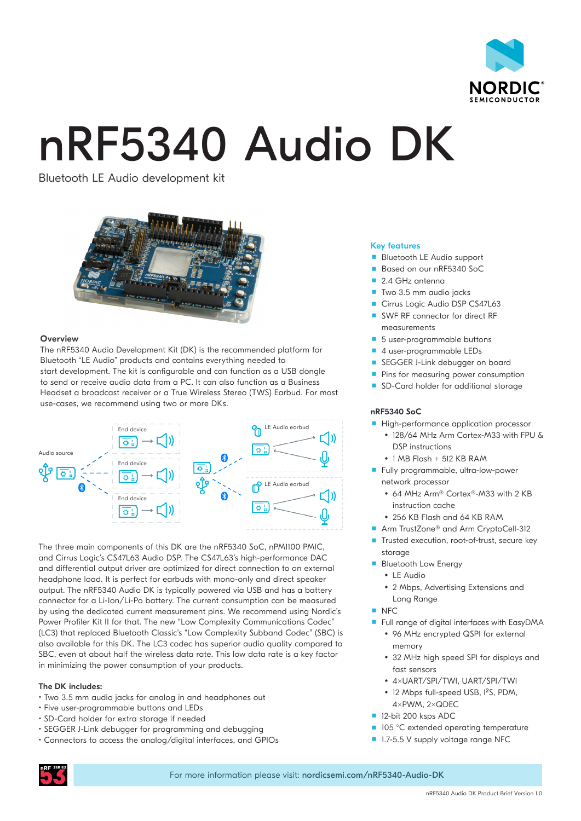

# nRF5340 Audio DK

Bluetooth LE Audio development kit



# **Overview**

The nRF5340 Audio Development Kit (DK) is the recommended platform for Bluetooth "LE Audio" products and contains everything needed to start development. The kit is configurable and can function as a USB dongle to send or receive audio data from a PC. It can also function as a Business Headset a broadcast receiver or a True Wireless Stereo (TWS) Earbud. For most use-cases, we recommend using two or more DKs.



The three main components of this DK are the nRF5340 SoC, nPM1100 PMIC, and Cirrus Logic's CS47L63 Audio DSP. The CS47L63's high-performance DAC and differential output driver are optimized for direct connection to an external headphone load. It is perfect for earbuds with mono-only and direct speaker output. The nRF5340 Audio DK is typically powered via USB and has a battery connector for a Li-Ion/Li-Po battery. The current consumption can be measured by using the dedicated current measurement pins. We recommend using Nordic's Power Profiler Kit II for that. The new "Low Complexity Communications Codec" (LC3) that replaced Bluetooth Classic's "Low Complexity Subband Codec" (SBC) is also available for this DK. The LC3 codec has superior audio quality compared to SBC, even at about half the wireless data rate. This low data rate is a key factor in minimizing the power consumption of your products.

# The DK includes:

- Two 3.5 mm audio jacks for analog in and headphones out
- Five user-programmable buttons and LEDs
- SD-Card holder for extra storage if needed
- SEGGER J-Link debugger for programming and debugging
- Connectors to access the analog/digital interfaces, and GPIOs

# Key features

- **Bluetooth LE Audio support**
- Based on our nRF5340 SoC
- 2.4 GHz antenna
- Two 3.5 mm audio jacks
- Cirrus Logic Audio DSP CS47L63
- SWF RF connector for direct RF measurements
- 5 user-programmable buttons
- 4 user-programmable LEDs
- SEGGER J-Link debugger on board
- **Pins for measuring power consumption**
- SD-Card holder for additional storage

# nRF5340 SoC

- **High-performance application processor** 
	- y 128/64 MHz Arm Cortex-M33 with FPU & DSP instructions
	- $\cdot$  1 MB Flash + 512 KB RAM
- Fully programmable, ultra-low-power network processor
	- 64 MHz Arm® Cortex®-M33 with 2 KB instruction cache
	- y 256 KB Flash and 64 KB RAM
- Arm TrustZone<sup>®</sup> and Arm CryptoCell-312
- Trusted execution, root-of-trust, secure key storage
- **Bluetooth Low Energy**  $\cdot$  LE Audio
	- 2 Mbps, Advertising Extensions and
	- Long Range
- $NFC$
- **Full range of digital interfaces with EasyDMA** 
	- 96 MHz encrypted QSPI for external memory
	- 32 MHz high speed SPI for displays and fast sensors
	- y 4xUART/SPI/TWI, UART/SPI/TWI
	- 12 Mbps full-speed USB, 1<sup>2</sup>S, PDM, 4xPWM, 2xQDEC
- 12-bit 200 ksps ADC
- 105 °C extended operating temperature
- 1.7-5.5 V supply voltage range NFC